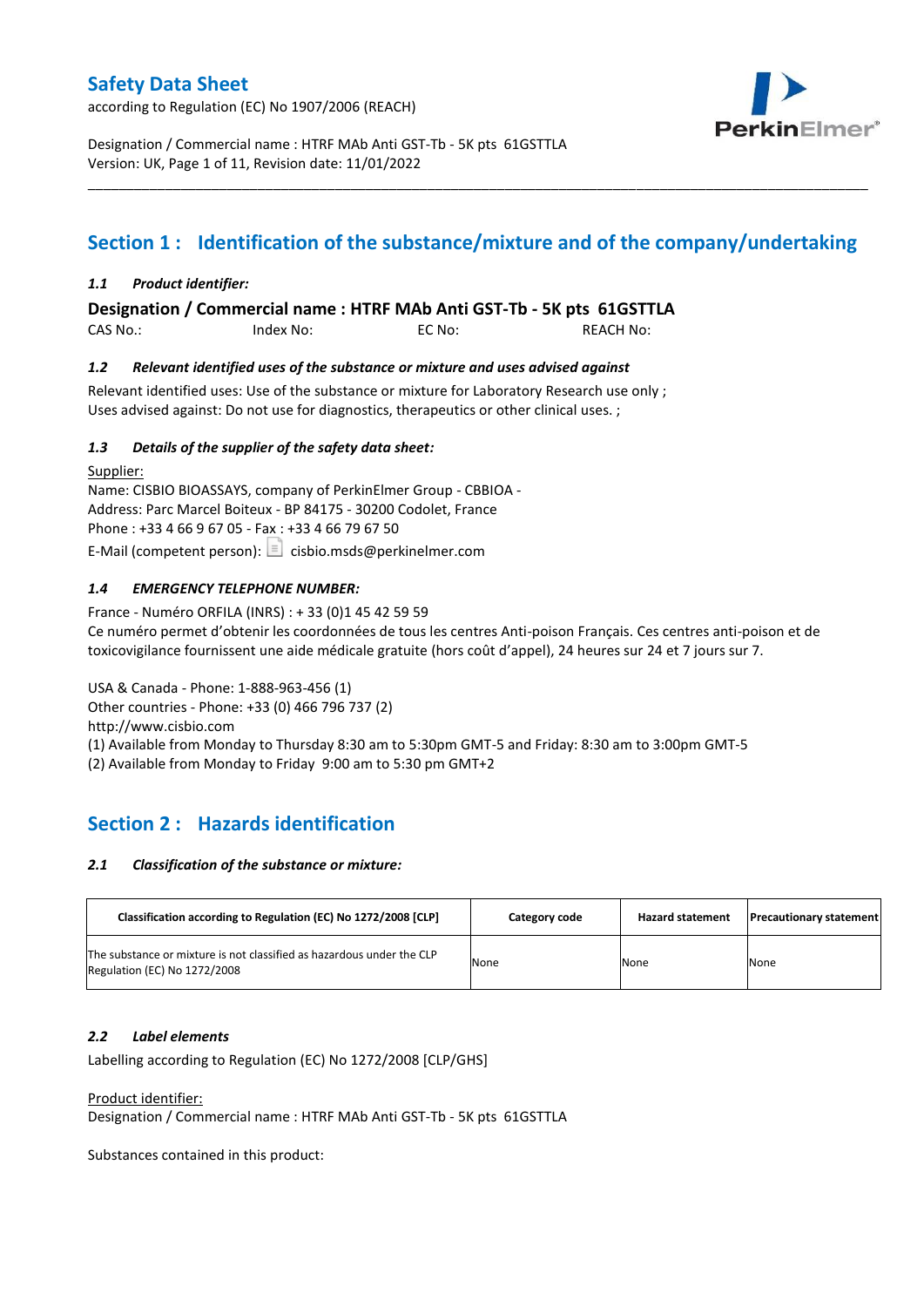according to Regulation (EC) No 1907/2006 (REACH)



Designation / Commercial name : HTRF MAb Anti GST-Tb - 5K pts 61GSTTLA Version: UK, Page 1 of 11, Revision date: 11/01/2022

# **Section 1 : Identification of the substance/mixture and of the company/undertaking**

\_\_\_\_\_\_\_\_\_\_\_\_\_\_\_\_\_\_\_\_\_\_\_\_\_\_\_\_\_\_\_\_\_\_\_\_\_\_\_\_\_\_\_\_\_\_\_\_\_\_\_\_\_\_\_\_\_\_\_\_\_\_\_\_\_\_\_\_\_\_\_\_\_\_\_\_\_\_\_\_\_\_\_\_\_\_\_\_\_\_\_\_\_\_\_\_\_\_\_\_\_

### *1.1 Product identifier:*

**Designation / Commercial name : HTRF MAb Anti GST-Tb - 5K pts 61GSTTLA** 

| CAS No.: | Index No: | EC No: | <b>REACH No:</b> |
|----------|-----------|--------|------------------|
|          |           |        |                  |

### *1.2 Relevant identified uses of the substance or mixture and uses advised against*

Relevant identified uses: Use of the substance or mixture for Laboratory Research use only ; Uses advised against: Do not use for diagnostics, therapeutics or other clinical uses. ;

### *1.3 Details of the supplier of the safety data sheet:*

Supplier: Name: CISBIO BIOASSAYS, company of PerkinElmer Group - CBBIOA - Address: Parc Marcel Boiteux - BP 84175 - 30200 Codolet, France Phone : +33 4 66 9 67 05 - Fax : +33 4 66 79 67 50 E-Mail (competent person):  $\boxed{\equiv}$  cisbio.msds@perkinelmer.com

### *1.4 EMERGENCY TELEPHONE NUMBER:*

France - Numéro ORFILA (INRS) : + 33 (0)1 45 42 59 59 Ce numéro permet d'obtenir les coordonnées de tous les centres Anti-poison Français. Ces centres anti-poison et de toxicovigilance fournissent une aide médicale gratuite (hors coût d'appel), 24 heures sur 24 et 7 jours sur 7.

USA & Canada - Phone: 1-888-963-456 (1) Other countries - Phone: +33 (0) 466 796 737 (2)

http://www.cisbio.com

(1) Available from Monday to Thursday 8:30 am to 5:30pm GMT-5 and Friday: 8:30 am to 3:00pm GMT-5

(2) Available from Monday to Friday 9:00 am to 5:30 pm GMT+2

# **Section 2 : Hazards identification**

#### *2.1 Classification of the substance or mixture:*

| Classification according to Regulation (EC) No 1272/2008 [CLP]                                        | Category code | <b>Hazard statement</b> | <b>Precautionary statement</b> |
|-------------------------------------------------------------------------------------------------------|---------------|-------------------------|--------------------------------|
| The substance or mixture is not classified as hazardous under the CLP<br>Regulation (EC) No 1272/2008 | None          | None                    | None                           |

#### *2.2 Label elements*

Labelling according to Regulation (EC) No 1272/2008 [CLP/GHS]

Product identifier:

Designation / Commercial name : HTRF MAb Anti GST-Tb - 5K pts 61GSTTLA

Substances contained in this product: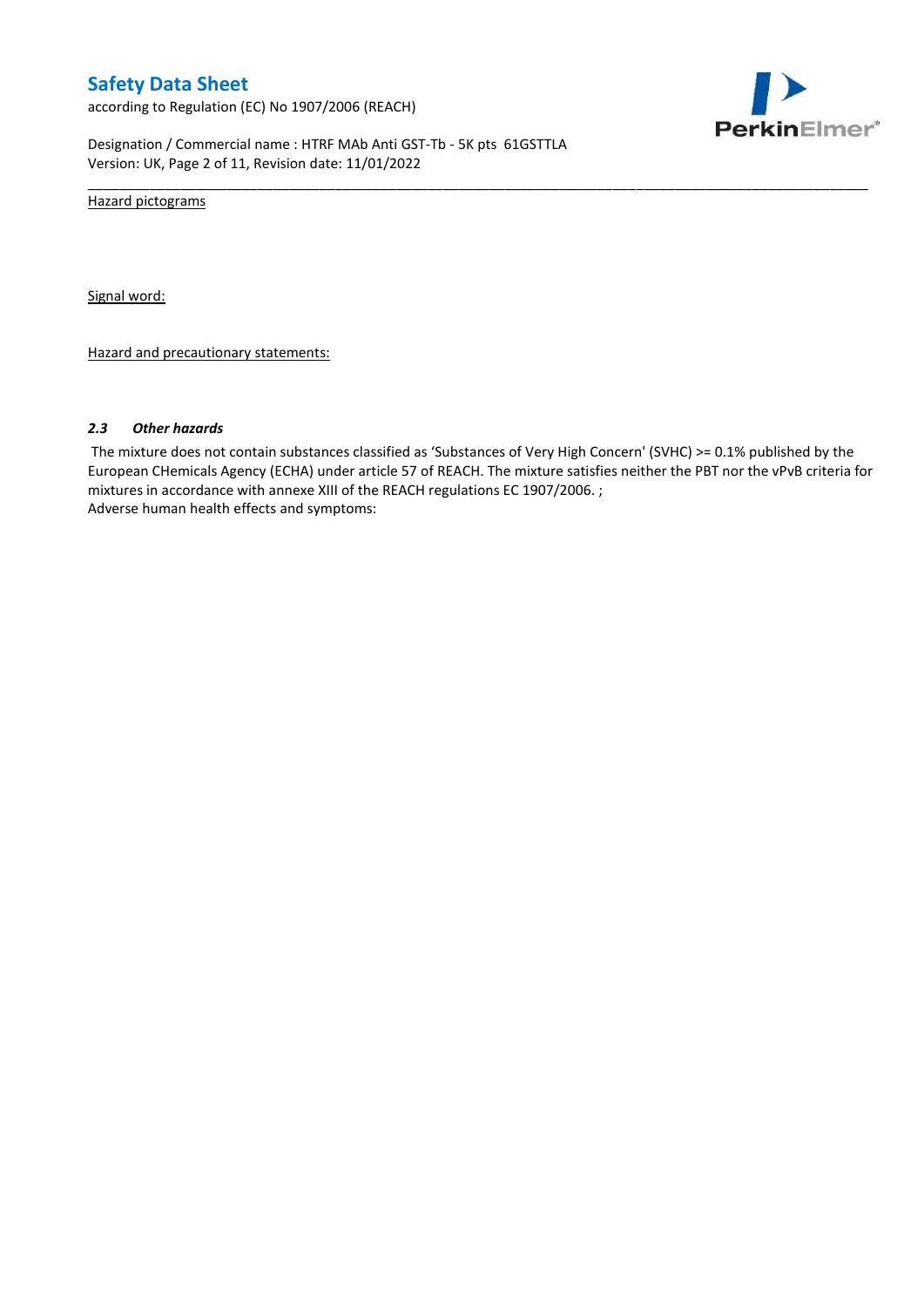according to Regulation (EC) No 1907/2006 (REACH)



Designation / Commercial name : HTRF MAb Anti GST-Tb - 5K pts 61GSTTLA Version: UK, Page 2 of 11, Revision date: 11/01/2022

Hazard pictograms

Signal word:

Hazard and precautionary statements:

#### *2.3 Other hazards*

The mixture does not contain substances classified as 'Substances of Very High Concern' (SVHC) >= 0.1% published by the European CHemicals Agency (ECHA) under article 57 of REACH. The mixture satisfies neither the PBT nor the vPvB criteria for mixtures in accordance with annexe XIII of the REACH regulations EC 1907/2006. ; Adverse human health effects and symptoms:

\_\_\_\_\_\_\_\_\_\_\_\_\_\_\_\_\_\_\_\_\_\_\_\_\_\_\_\_\_\_\_\_\_\_\_\_\_\_\_\_\_\_\_\_\_\_\_\_\_\_\_\_\_\_\_\_\_\_\_\_\_\_\_\_\_\_\_\_\_\_\_\_\_\_\_\_\_\_\_\_\_\_\_\_\_\_\_\_\_\_\_\_\_\_\_\_\_\_\_\_\_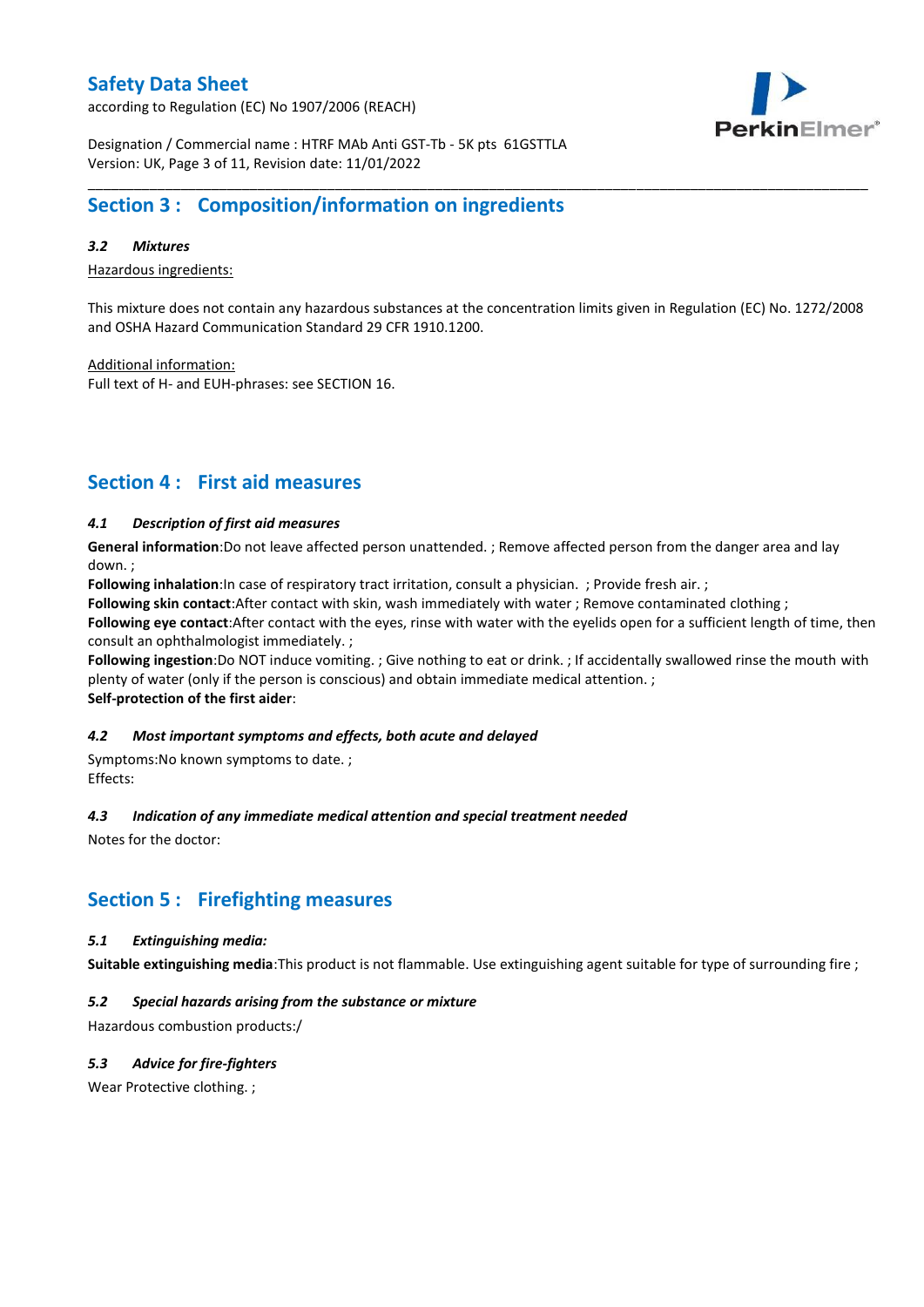according to Regulation (EC) No 1907/2006 (REACH)



Designation / Commercial name : HTRF MAb Anti GST-Tb - 5K pts 61GSTTLA Version: UK, Page 3 of 11, Revision date: 11/01/2022

# **Section 3 : Composition/information on ingredients**

### *3.2 Mixtures*

Hazardous ingredients:

This mixture does not contain any hazardous substances at the concentration limits given in Regulation (EC) No. 1272/2008 and OSHA Hazard Communication Standard 29 CFR 1910.1200.

\_\_\_\_\_\_\_\_\_\_\_\_\_\_\_\_\_\_\_\_\_\_\_\_\_\_\_\_\_\_\_\_\_\_\_\_\_\_\_\_\_\_\_\_\_\_\_\_\_\_\_\_\_\_\_\_\_\_\_\_\_\_\_\_\_\_\_\_\_\_\_\_\_\_\_\_\_\_\_\_\_\_\_\_\_\_\_\_\_\_\_\_\_\_\_\_\_\_\_\_\_

Additional information:

Full text of H- and EUH-phrases: see SECTION 16.

# **Section 4 : First aid measures**

### *4.1 Description of first aid measures*

**General information**:Do not leave affected person unattended. ; Remove affected person from the danger area and lay down. ;

**Following inhalation**:In case of respiratory tract irritation, consult a physician. ; Provide fresh air. ;

**Following skin contact**:After contact with skin, wash immediately with water ; Remove contaminated clothing ;

**Following eye contact**:After contact with the eyes, rinse with water with the eyelids open for a sufficient length of time, then consult an ophthalmologist immediately. ;

**Following ingestion**:Do NOT induce vomiting. ; Give nothing to eat or drink. ; If accidentally swallowed rinse the mouth with plenty of water (only if the person is conscious) and obtain immediate medical attention. ; **Self-protection of the first aider**:

#### *4.2 Most important symptoms and effects, both acute and delayed*

Symptoms:No known symptoms to date. ; Effects:

#### *4.3 Indication of any immediate medical attention and special treatment needed*

Notes for the doctor:

## **Section 5 : Firefighting measures**

#### *5.1 Extinguishing media:*

**Suitable extinguishing media**:This product is not flammable. Use extinguishing agent suitable for type of surrounding fire ;

### *5.2 Special hazards arising from the substance or mixture*

Hazardous combustion products:/

### *5.3 Advice for fire-fighters*

Wear Protective clothing.;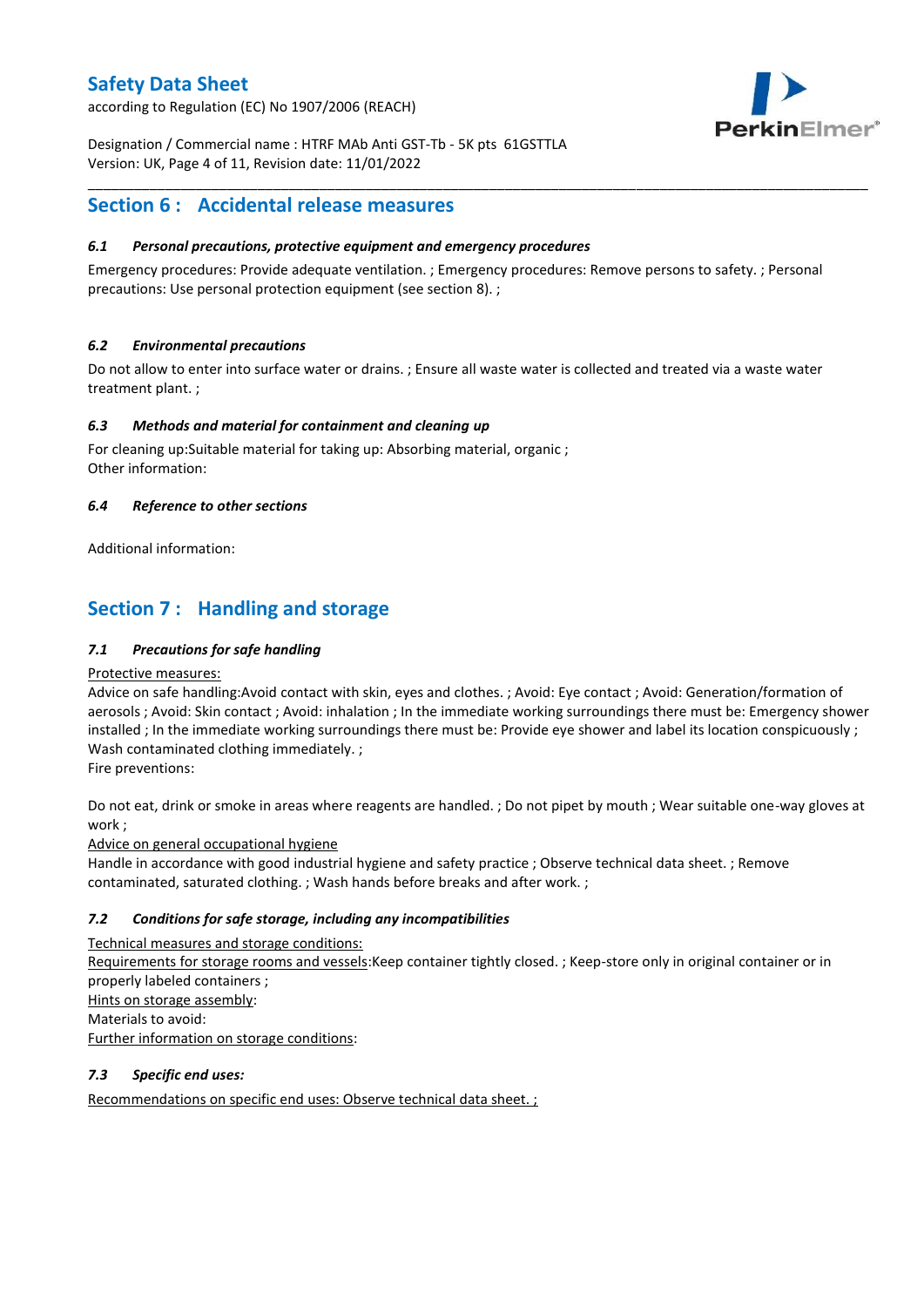according to Regulation (EC) No 1907/2006 (REACH)



Designation / Commercial name : HTRF MAb Anti GST-Tb - 5K pts 61GSTTLA Version: UK, Page 4 of 11, Revision date: 11/01/2022

# **Section 6 : Accidental release measures**

### *6.1 Personal precautions, protective equipment and emergency procedures*

Emergency procedures: Provide adequate ventilation. ; Emergency procedures: Remove persons to safety. ; Personal precautions: Use personal protection equipment (see section 8). ;

\_\_\_\_\_\_\_\_\_\_\_\_\_\_\_\_\_\_\_\_\_\_\_\_\_\_\_\_\_\_\_\_\_\_\_\_\_\_\_\_\_\_\_\_\_\_\_\_\_\_\_\_\_\_\_\_\_\_\_\_\_\_\_\_\_\_\_\_\_\_\_\_\_\_\_\_\_\_\_\_\_\_\_\_\_\_\_\_\_\_\_\_\_\_\_\_\_\_\_\_\_

### *6.2 Environmental precautions*

Do not allow to enter into surface water or drains. ; Ensure all waste water is collected and treated via a waste water treatment plant. ;

### *6.3 Methods and material for containment and cleaning up*

For cleaning up:Suitable material for taking up: Absorbing material, organic ; Other information:

### *6.4 Reference to other sections*

Additional information:

# **Section 7 : Handling and storage**

### *7.1 Precautions for safe handling*

#### Protective measures:

Advice on safe handling:Avoid contact with skin, eyes and clothes. ; Avoid: Eye contact ; Avoid: Generation/formation of aerosols ; Avoid: Skin contact ; Avoid: inhalation ; In the immediate working surroundings there must be: Emergency shower installed ; In the immediate working surroundings there must be: Provide eye shower and label its location conspicuously ; Wash contaminated clothing immediately. ;

Fire preventions:

Do not eat, drink or smoke in areas where reagents are handled. ; Do not pipet by mouth ; Wear suitable one-way gloves at work ;

Advice on general occupational hygiene

Handle in accordance with good industrial hygiene and safety practice ; Observe technical data sheet. ; Remove contaminated, saturated clothing. ; Wash hands before breaks and after work. ;

### *7.2 Conditions for safe storage, including any incompatibilities*

Technical measures and storage conditions: Requirements for storage rooms and vessels:Keep container tightly closed. ; Keep-store only in original container or in properly labeled containers ; Hints on storage assembly: Materials to avoid: Further information on storage conditions:

### *7.3 Specific end uses:*

Recommendations on specific end uses: Observe technical data sheet. ;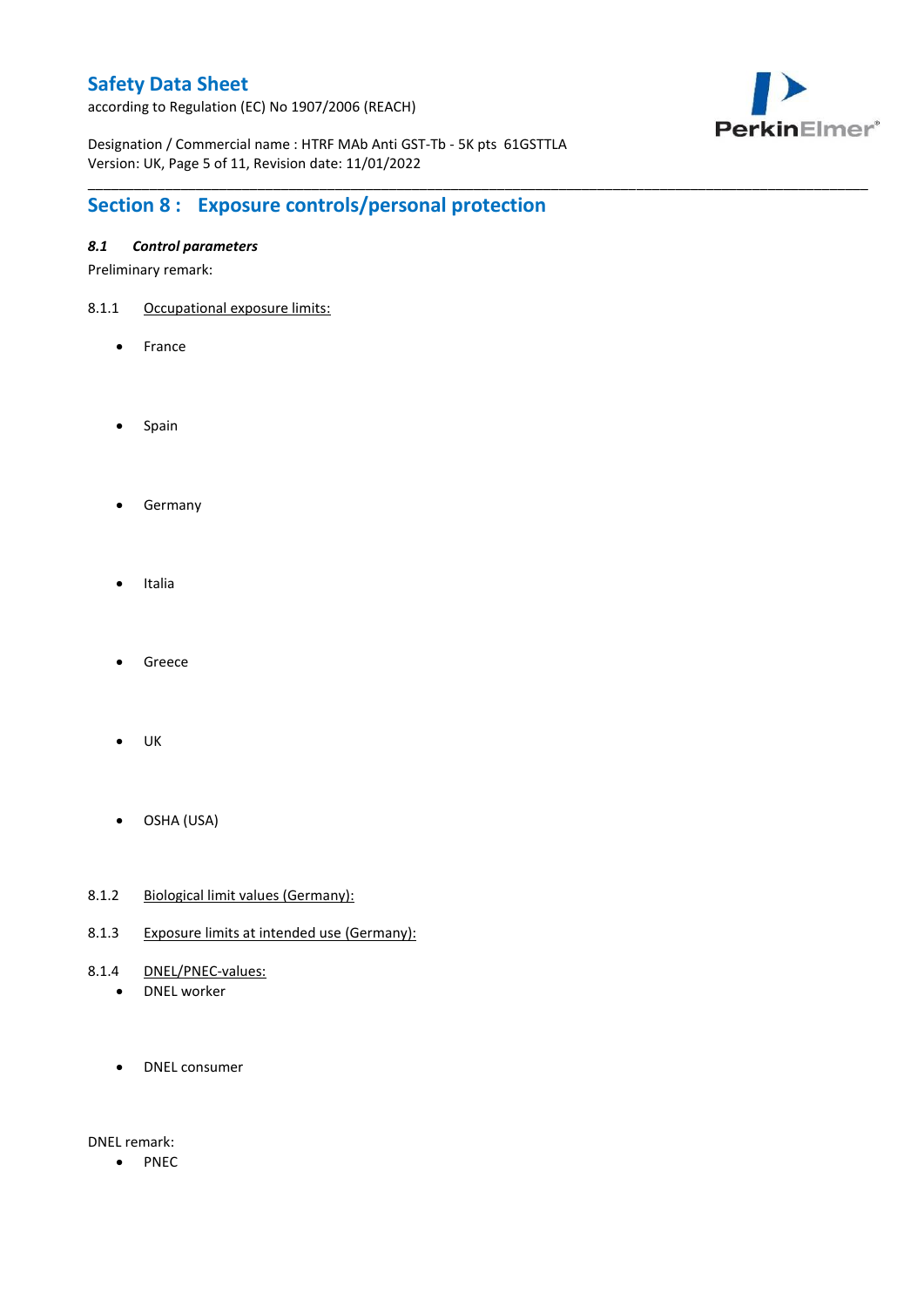according to Regulation (EC) No 1907/2006 (REACH)



Designation / Commercial name : HTRF MAb Anti GST-Tb - 5K pts 61GSTTLA Version: UK, Page 5 of 11, Revision date: 11/01/2022

\_\_\_\_\_\_\_\_\_\_\_\_\_\_\_\_\_\_\_\_\_\_\_\_\_\_\_\_\_\_\_\_\_\_\_\_\_\_\_\_\_\_\_\_\_\_\_\_\_\_\_\_\_\_\_\_\_\_\_\_\_\_\_\_\_\_\_\_\_\_\_\_\_\_\_\_\_\_\_\_\_\_\_\_\_\_\_\_\_\_\_\_\_\_\_\_\_\_\_\_\_

# **Section 8 : Exposure controls/personal protection**

### *8.1 Control parameters*

Preliminary remark:

- 8.1.1 Occupational exposure limits:
	- France
	- Spain
	- **•** Germany
	- Italia
	- Greece
	- $\bullet$  UK
	- OSHA (USA)
- 8.1.2 Biological limit values (Germany):
- 8.1.3 Exposure limits at intended use (Germany):
- 8.1.4 DNEL/PNEC-values:
	- DNEL worker
	- DNEL consumer

DNEL remark:

• PNEC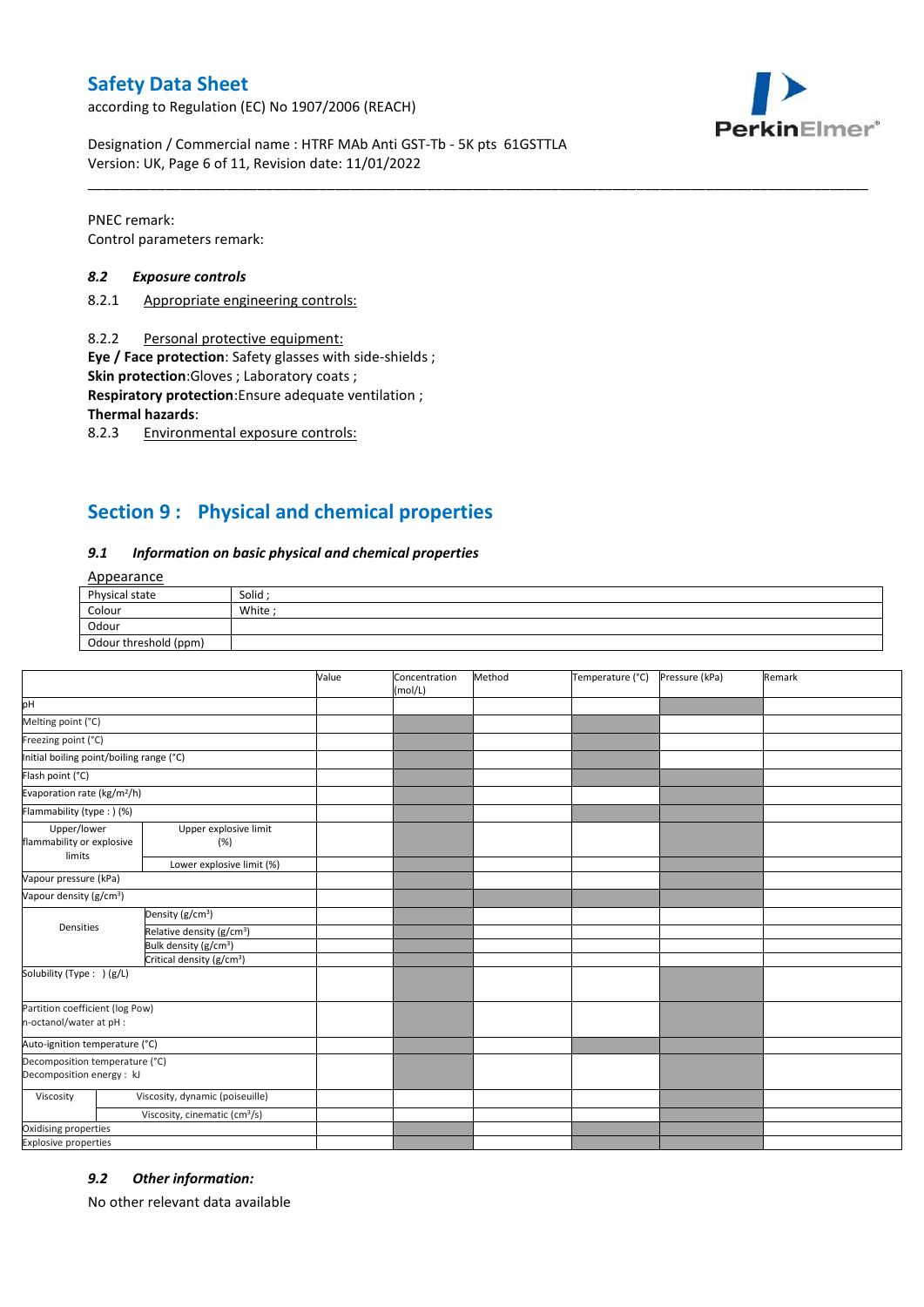according to Regulation (EC) No 1907/2006 (REACH)



Designation / Commercial name : HTRF MAb Anti GST-Tb - 5K pts 61GSTTLA Version: UK, Page 6 of 11, Revision date: 11/01/2022

PNEC remark: Control parameters remark:

#### *8.2 Exposure controls*

- 8.2.1 Appropriate engineering controls:
- 8.2.2 Personal protective equipment:

**Eye / Face protection**: Safety glasses with side-shields ;

**Skin protection**:Gloves ; Laboratory coats ;

**Respiratory protection**:Ensure adequate ventilation ;

**Thermal hazards**:

8.2.3 Environmental exposure controls:

# **Section 9 : Physical and chemical properties**

#### *9.1 Information on basic physical and chemical properties*

### Appearance

| Physical state        | Solid  |
|-----------------------|--------|
| Colour                | White; |
| Odour                 |        |
| Odour threshold (ppm) |        |

\_\_\_\_\_\_\_\_\_\_\_\_\_\_\_\_\_\_\_\_\_\_\_\_\_\_\_\_\_\_\_\_\_\_\_\_\_\_\_\_\_\_\_\_\_\_\_\_\_\_\_\_\_\_\_\_\_\_\_\_\_\_\_\_\_\_\_\_\_\_\_\_\_\_\_\_\_\_\_\_\_\_\_\_\_\_\_\_\_\_\_\_\_\_\_\_\_\_\_\_\_

|                                                             |                                           | Value | Concentration<br>(mol/L) | Method | Temperature (°C) | Pressure (kPa) | Remark |
|-------------------------------------------------------------|-------------------------------------------|-------|--------------------------|--------|------------------|----------------|--------|
| pH                                                          |                                           |       |                          |        |                  |                |        |
| Melting point (°C)                                          |                                           |       |                          |        |                  |                |        |
| Freezing point (°C)                                         |                                           |       |                          |        |                  |                |        |
| Initial boiling point/boiling range (°C)                    |                                           |       |                          |        |                  |                |        |
| Flash point (°C)                                            |                                           |       |                          |        |                  |                |        |
| Evaporation rate (kg/m <sup>2</sup> /h)                     |                                           |       |                          |        |                  |                |        |
| Flammability (type : ) (%)                                  |                                           |       |                          |        |                  |                |        |
| Upper/lower<br>flammability or explosive<br>limits          | Upper explosive limit<br>(%)              |       |                          |        |                  |                |        |
|                                                             | Lower explosive limit (%)                 |       |                          |        |                  |                |        |
| Vapour pressure (kPa)                                       |                                           |       |                          |        |                  |                |        |
| Vapour density (g/cm <sup>3</sup> )                         |                                           |       |                          |        |                  |                |        |
|                                                             | Density (g/cm <sup>3</sup> )              |       |                          |        |                  |                |        |
| Densities                                                   | Relative density (g/cm <sup>3</sup> )     |       |                          |        |                  |                |        |
|                                                             | Bulk density (g/cm <sup>3</sup> )         |       |                          |        |                  |                |        |
| Critical density (g/cm <sup>3</sup> )                       |                                           |       |                          |        |                  |                |        |
| Solubility (Type: ) (g/L)                                   |                                           |       |                          |        |                  |                |        |
| Partition coefficient (log Pow)<br>n-octanol/water at pH :  |                                           |       |                          |        |                  |                |        |
| Auto-ignition temperature (°C)                              |                                           |       |                          |        |                  |                |        |
| Decomposition temperature (°C)<br>Decomposition energy : kJ |                                           |       |                          |        |                  |                |        |
| Viscosity                                                   | Viscosity, dynamic (poiseuille)           |       |                          |        |                  |                |        |
|                                                             | Viscosity, cinematic (cm <sup>3</sup> /s) |       |                          |        |                  |                |        |
| Oxidising properties                                        |                                           |       |                          |        |                  |                |        |
| <b>Explosive properties</b>                                 |                                           |       |                          |        |                  |                |        |

#### *9.2 Other information:*

No other relevant data available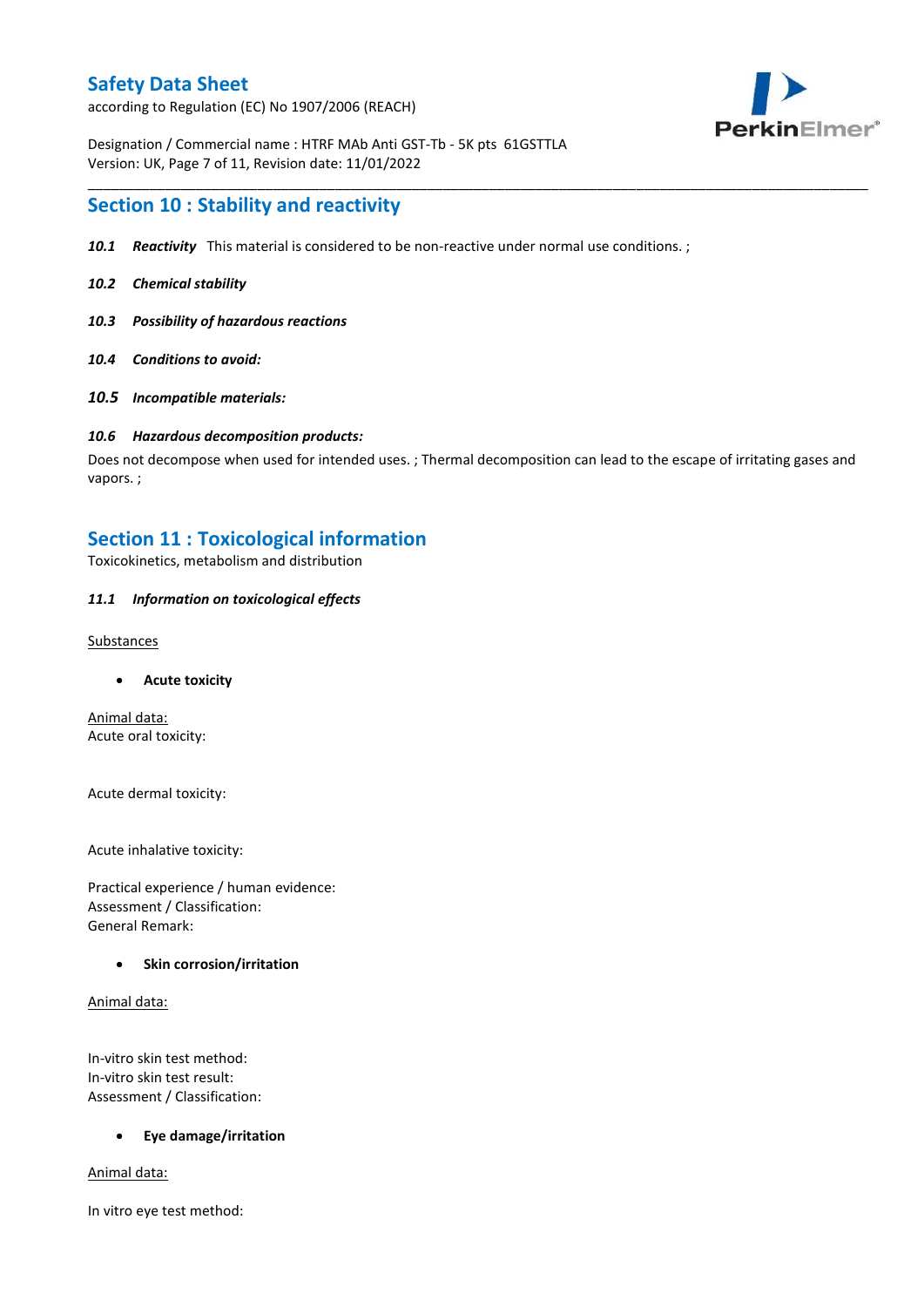according to Regulation (EC) No 1907/2006 (REACH)



Designation / Commercial name : HTRF MAb Anti GST-Tb - 5K pts 61GSTTLA Version: UK, Page 7 of 11, Revision date: 11/01/2022

## **Section 10 : Stability and reactivity**

- *10.1 Reactivity* This material is considered to be non-reactive under normal use conditions. ;
- *10.2 Chemical stability*
- *10.3 Possibility of hazardous reactions*
- *10.4 Conditions to avoid:*
- *10.5 Incompatible materials:*

#### *10.6 Hazardous decomposition products:*

Does not decompose when used for intended uses. ; Thermal decomposition can lead to the escape of irritating gases and vapors. ;

\_\_\_\_\_\_\_\_\_\_\_\_\_\_\_\_\_\_\_\_\_\_\_\_\_\_\_\_\_\_\_\_\_\_\_\_\_\_\_\_\_\_\_\_\_\_\_\_\_\_\_\_\_\_\_\_\_\_\_\_\_\_\_\_\_\_\_\_\_\_\_\_\_\_\_\_\_\_\_\_\_\_\_\_\_\_\_\_\_\_\_\_\_\_\_\_\_\_\_\_\_

# **Section 11 : Toxicological information**

Toxicokinetics, metabolism and distribution

### *11.1 Information on toxicological effects*

#### **Substances**

**Acute toxicity**

Animal data: Acute oral toxicity:

Acute dermal toxicity:

Acute inhalative toxicity:

Practical experience / human evidence: Assessment / Classification: General Remark:

#### **Skin corrosion/irritation**

Animal data:

In-vitro skin test method: In-vitro skin test result: Assessment / Classification:

#### **Eye damage/irritation**

Animal data:

In vitro eye test method: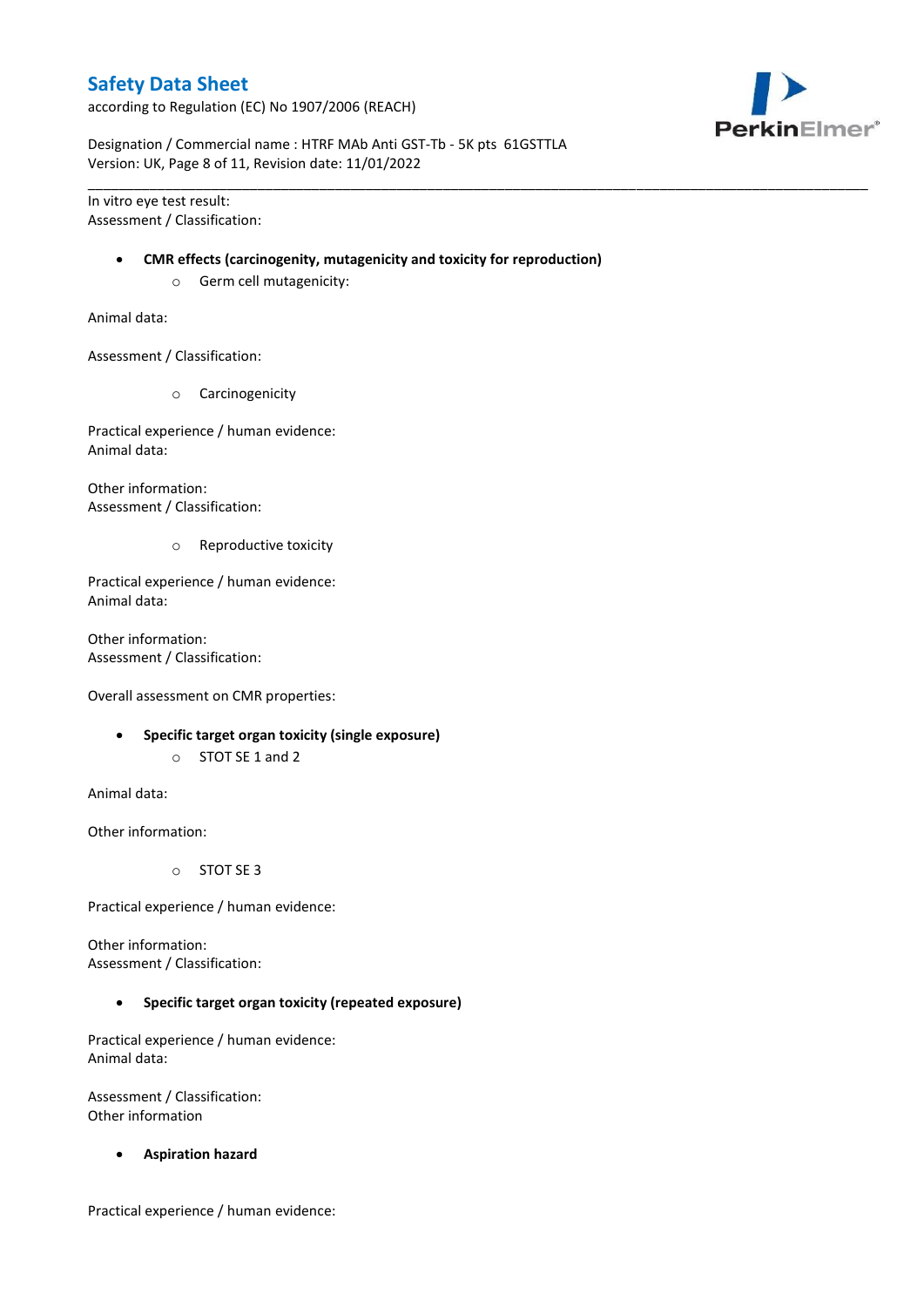according to Regulation (EC) No 1907/2006 (REACH)



Designation / Commercial name : HTRF MAb Anti GST-Tb - 5K pts 61GSTTLA Version: UK, Page 8 of 11, Revision date: 11/01/2022

In vitro eye test result: Assessment / Classification:

#### **CMR effects (carcinogenity, mutagenicity and toxicity for reproduction)**

\_\_\_\_\_\_\_\_\_\_\_\_\_\_\_\_\_\_\_\_\_\_\_\_\_\_\_\_\_\_\_\_\_\_\_\_\_\_\_\_\_\_\_\_\_\_\_\_\_\_\_\_\_\_\_\_\_\_\_\_\_\_\_\_\_\_\_\_\_\_\_\_\_\_\_\_\_\_\_\_\_\_\_\_\_\_\_\_\_\_\_\_\_\_\_\_\_\_\_\_\_

o Germ cell mutagenicity:

Animal data:

Assessment / Classification:

o Carcinogenicity

Practical experience / human evidence: Animal data:

Other information: Assessment / Classification:

o Reproductive toxicity

Practical experience / human evidence: Animal data:

Other information: Assessment / Classification:

Overall assessment on CMR properties:

- **Specific target organ toxicity (single exposure)**
	- o STOT SE 1 and 2

Animal data:

Other information:

o STOT SE 3

Practical experience / human evidence:

Other information: Assessment / Classification:

**Specific target organ toxicity (repeated exposure)**

Practical experience / human evidence: Animal data:

Assessment / Classification: Other information

**Aspiration hazard**

Practical experience / human evidence: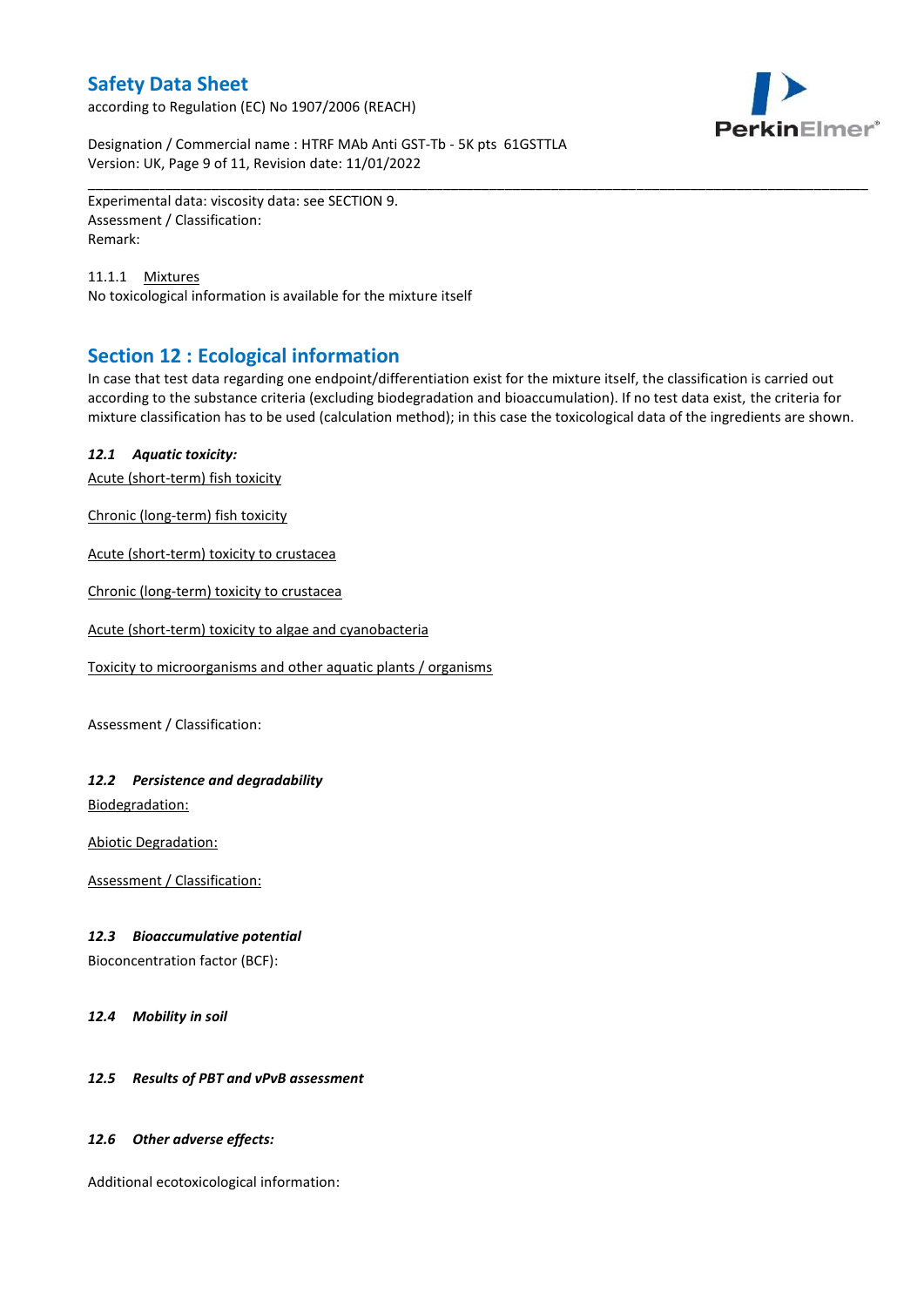according to Regulation (EC) No 1907/2006 (REACH)



Designation / Commercial name : HTRF MAb Anti GST-Tb - 5K pts 61GSTTLA Version: UK, Page 9 of 11, Revision date: 11/01/2022

Experimental data: viscosity data: see SECTION 9. Assessment / Classification: Remark:

11.1.1 Mixtures No toxicological information is available for the mixture itself

# **Section 12 : Ecological information**

In case that test data regarding one endpoint/differentiation exist for the mixture itself, the classification is carried out according to the substance criteria (excluding biodegradation and bioaccumulation). If no test data exist, the criteria for mixture classification has to be used (calculation method); in this case the toxicological data of the ingredients are shown.

\_\_\_\_\_\_\_\_\_\_\_\_\_\_\_\_\_\_\_\_\_\_\_\_\_\_\_\_\_\_\_\_\_\_\_\_\_\_\_\_\_\_\_\_\_\_\_\_\_\_\_\_\_\_\_\_\_\_\_\_\_\_\_\_\_\_\_\_\_\_\_\_\_\_\_\_\_\_\_\_\_\_\_\_\_\_\_\_\_\_\_\_\_\_\_\_\_\_\_\_\_

### *12.1 Aquatic toxicity:*

Acute (short-term) fish toxicity

Chronic (long-term) fish toxicity

Acute (short-term) toxicity to crustacea

Chronic (long-term) toxicity to crustacea

Acute (short-term) toxicity to algae and cyanobacteria

Toxicity to microorganisms and other aquatic plants / organisms

Assessment / Classification:

### *12.2 Persistence and degradability*

Biodegradation:

Abiotic Degradation:

Assessment / Classification:

#### *12.3 Bioaccumulative potential*

Bioconcentration factor (BCF):

*12.4 Mobility in soil*

### *12.5 Results of PBT and vPvB assessment*

#### *12.6 Other adverse effects:*

Additional ecotoxicological information: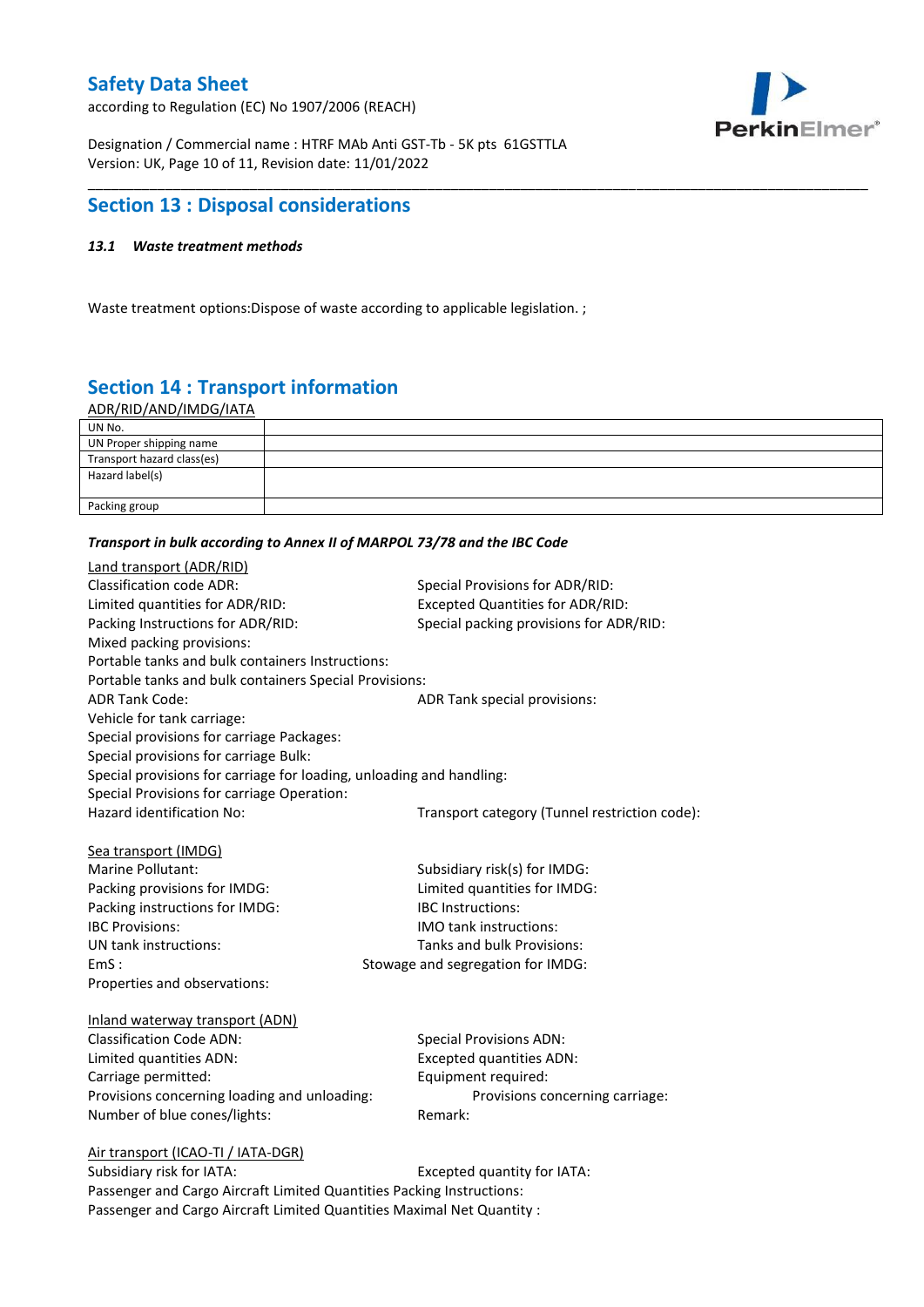according to Regulation (EC) No 1907/2006 (REACH)



Designation / Commercial name : HTRF MAb Anti GST-Tb - 5K pts 61GSTTLA Version: UK, Page 10 of 11, Revision date: 11/01/2022

# **Section 13 : Disposal considerations**

### *13.1 Waste treatment methods*

Waste treatment options:Dispose of waste according to applicable legislation. ;

# **Section 14 : Transport information**

ADR/RID/AND/IMDG/IATA

| UN No.                     |  |
|----------------------------|--|
| UN Proper shipping name    |  |
| Transport hazard class(es) |  |
| Hazard label(s)            |  |
|                            |  |
| Packing group              |  |

\_\_\_\_\_\_\_\_\_\_\_\_\_\_\_\_\_\_\_\_\_\_\_\_\_\_\_\_\_\_\_\_\_\_\_\_\_\_\_\_\_\_\_\_\_\_\_\_\_\_\_\_\_\_\_\_\_\_\_\_\_\_\_\_\_\_\_\_\_\_\_\_\_\_\_\_\_\_\_\_\_\_\_\_\_\_\_\_\_\_\_\_\_\_\_\_\_\_\_\_\_

#### *Transport in bulk according to Annex II of MARPOL 73/78 and the IBC Code*

| Land transport (ADR/RID)                                             |                                               |
|----------------------------------------------------------------------|-----------------------------------------------|
| <b>Classification code ADR:</b>                                      | Special Provisions for ADR/RID:               |
| Limited quantities for ADR/RID:                                      | Excepted Quantities for ADR/RID:              |
| Packing Instructions for ADR/RID:                                    | Special packing provisions for ADR/RID:       |
| Mixed packing provisions:                                            |                                               |
| Portable tanks and bulk containers Instructions:                     |                                               |
| Portable tanks and bulk containers Special Provisions:               |                                               |
| <b>ADR Tank Code:</b>                                                | ADR Tank special provisions:                  |
| Vehicle for tank carriage:                                           |                                               |
| Special provisions for carriage Packages:                            |                                               |
| Special provisions for carriage Bulk:                                |                                               |
| Special provisions for carriage for loading, unloading and handling: |                                               |
| Special Provisions for carriage Operation:                           |                                               |
| Hazard identification No:                                            | Transport category (Tunnel restriction code): |
|                                                                      |                                               |
| Sea transport (IMDG)                                                 |                                               |
| <b>Marine Pollutant:</b>                                             | Subsidiary risk(s) for IMDG:                  |
| Packing provisions for IMDG:                                         | Limited quantities for IMDG:                  |
| Packing instructions for IMDG:                                       | <b>IBC</b> Instructions:                      |
| <b>IBC Provisions:</b>                                               | <b>IMO</b> tank instructions:                 |
| UN tank instructions:                                                | Tanks and bulk Provisions:                    |
| EmS:                                                                 | Stowage and segregation for IMDG:             |
| Properties and observations:                                         |                                               |
|                                                                      |                                               |
| Inland waterway transport (ADN)<br><b>Classification Code ADN:</b>   |                                               |
|                                                                      | <b>Special Provisions ADN:</b>                |
| Limited quantities ADN:                                              | <b>Excepted quantities ADN:</b>               |
| Carriage permitted:                                                  | Equipment required:                           |
| Provisions concerning loading and unloading:                         | Provisions concerning carriage:               |
| Number of blue cones/lights:                                         | Remark:                                       |
| Air transport (ICAO-TI / IATA-DGR)                                   |                                               |
| Subsidiary risk for IATA:                                            | Excepted quantity for IATA:                   |
|                                                                      |                                               |

Passenger and Cargo Aircraft Limited Quantities Packing Instructions: Passenger and Cargo Aircraft Limited Quantities Maximal Net Quantity :